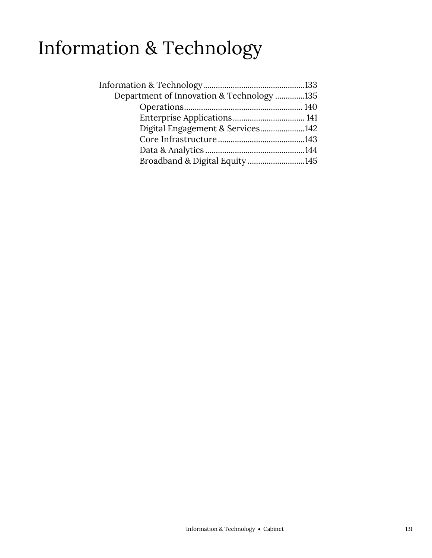# Information & Technology

| Department of Innovation & Technology 135 |  |
|-------------------------------------------|--|
|                                           |  |
|                                           |  |
| Digital Engagement & Services142          |  |
|                                           |  |
|                                           |  |
| Broadband & Digital Equity 145            |  |
|                                           |  |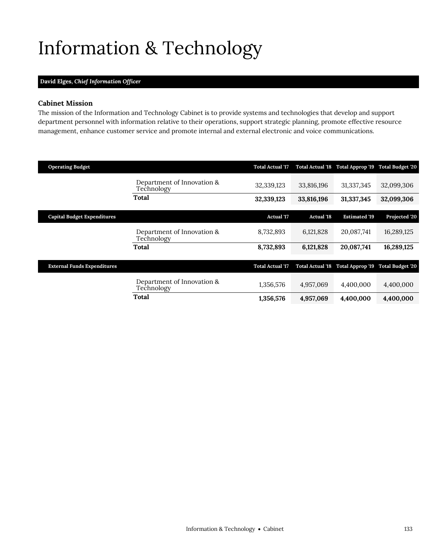# <span id="page-2-0"></span>Information & Technology

## **David Elges,** *Chief Information Officer*

## **Cabinet Mission**

The mission of the Information and Technology Cabinet is to provide systems and technologies that develop and support department personnel with information relative to their operations, support strategic planning, promote effective resource management, enhance customer service and promote internal and external electronic and voice communications.

| <b>Operating Budget</b>            |                                          | <b>Total Actual '17</b> | <b>Total Actual '18</b> | Total Approp '19                  | <b>Total Budget '20</b> |
|------------------------------------|------------------------------------------|-------------------------|-------------------------|-----------------------------------|-------------------------|
|                                    | Department of Innovation &<br>Technology | 32.339.123              | 33,816,196              | 31,337,345                        | 32,099,306              |
|                                    | Total                                    | 32,339,123              | 33,816,196              | 31,337,345                        | 32,099,306              |
|                                    |                                          |                         |                         |                                   |                         |
| <b>Capital Budget Expenditures</b> |                                          | Actual '17              | <b>Actual '18</b>       | <b>Estimated '19</b>              | Projected '20           |
|                                    | Department of Innovation &<br>Technology | 8,732,893               | 6,121,828               | 20,087,741                        | 16,289,125              |
|                                    | Total                                    | 8,732,893               | 6,121,828               | 20,087,741                        | 16,289,125              |
|                                    |                                          |                         |                         |                                   |                         |
| <b>External Funds Expenditures</b> |                                          | <b>Total Actual '17</b> | <b>Total Actual '18</b> | Total Approp '19 Total Budget '20 |                         |
|                                    | Department of Innovation &<br>Technology | 1,356,576               | 4,957,069               | 4,400,000                         | 4,400,000               |
|                                    | Total                                    | 1,356,576               | 4,957,069               | 4,400,000                         | 4,400,000               |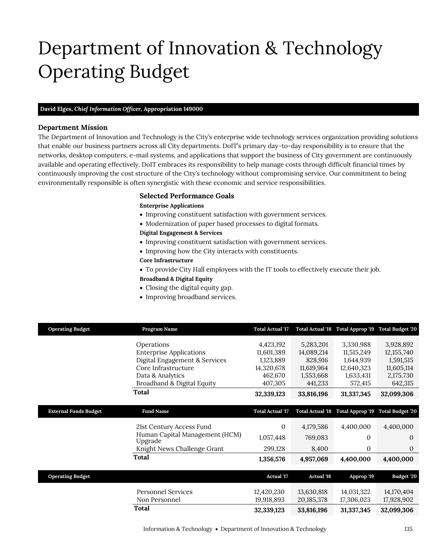# Department of Innovation & Technology Operating Budget

## **David Elges,** *Chief Information Officer,* **Appropriation 149000**

### **Department Mission**

Department of Innovation & Technology

The Department of Innovation and Technology is the City's enterprise wide technology services organization providing solutions that enable our business partners across all City departments. DoIT's primary day-to-day responsibility is to ensure that the networks, desktop computers, e-mail systems, and applications that support the business of City government are continuously available and operating effectively. DoIT embraces its responsibility to help manage costs through difficult financial times by continuously improving the cost structure of the City's technology without compromising service. Our commitment to being environmentally responsible is often synergistic with these economic and service responsibilities.

## <span id="page-4-0"></span>**Selected Performance Goals**

#### **Enterprise Applications**

- Improving constituent satisfaction with government services.
- Modernization of paper based processes to digital formats.

### **Digital Engagement & Services**

- Improving constituent satisfaction with government services.
- Improving how the City interacts with constituents.

#### **Core Infrastructure**

To provide City Hall employees with the IT tools to effectively execute their job.

#### **Broadband & Digital Equity**

- Closing the digital equity gap.
- Improving broadband services.

| <b>Operating Budget</b>      | Program Name                              | <b>Total Actual '17</b>  | <b>Total Actual 18</b>     | Total Approp '19         | <b>Total Budget '20</b>  |
|------------------------------|-------------------------------------------|--------------------------|----------------------------|--------------------------|--------------------------|
|                              | Operations                                | 4,423,192                | 5,283,201                  | 3,330,988                | 3,928,892                |
|                              | <b>Enterprise Applications</b>            | 11,601,389               | 14,089,214                 | 11,515,249               | 12, 155, 740             |
|                              | Digital Engagement & Services             | 1,123,889                | 828,916                    | 1,644,939                | 1,591,515                |
|                              | Core Infrastructure                       | 14,320,678               | 11,619,964                 | 12,640,323               | 11,605,114               |
|                              | Data & Analytics                          | 462,670                  | 1,553,668                  | 1,633,431                | 2,175,730                |
|                              | Broadband & Digital Equity                | 407,305                  | 441,233                    | 572,415                  | 642,315                  |
|                              | Total                                     | 32,339,123               | 33,816,196                 | 31,337,345               | 32,099,306               |
|                              |                                           |                          |                            |                          |                          |
| <b>External Funds Budget</b> | <b>Fund Name</b>                          | <b>Total Actual '17</b>  | <b>Total Actual '18</b>    | Total Approp '19         | <b>Total Budget '20</b>  |
|                              |                                           |                          |                            |                          |                          |
|                              | 21st Century Access Fund                  | 0                        | 4,179,586                  | 4,400,000                | 4,400,000                |
|                              | Human Capital Management (HCM)<br>Upgrade | 1,057,448                | 769,083                    | $\Omega$                 | $\theta$                 |
|                              | Knight News Challenge Grant               | 299,128                  | 8,400                      | $\Omega$                 | $\Omega$                 |
|                              | Total                                     | 1,356,576                | 4,957,069                  | 4,400,000                | 4,400,000                |
|                              |                                           |                          |                            |                          |                          |
| <b>Operating Budget</b>      |                                           | <b>Actual</b> '17        | <b>Actual '18</b>          | Approp '19               | Budget '20               |
|                              | <b>Personnel Services</b>                 |                          |                            |                          |                          |
|                              | Non Personnel                             | 12,420,230<br>19,918,893 | 13,630,818<br>20, 185, 378 | 14,031,322<br>17,306,023 | 14,170,404<br>17,928,902 |
|                              |                                           |                          |                            |                          |                          |
|                              | Total                                     | 32,339,123               | 33,816,196                 | 31,337,345               | 32,099,306               |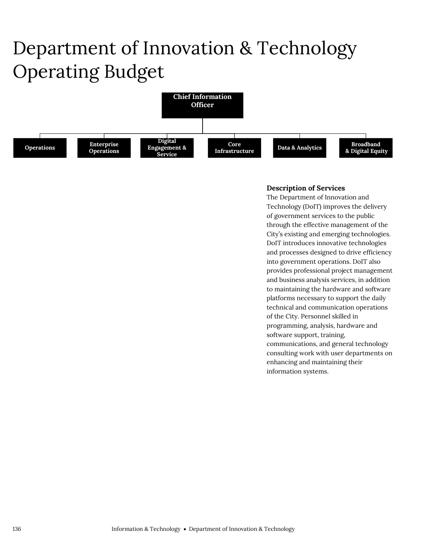# Department of Innovation & Technology Operating Budget



## **Description of Services**

The Department of Innovation and Technology (DoIT) improves the delivery of government services to the public through the effective management of the City's existing and emerging technologies. DoIT introduces innovative technologies and processes designed to drive efficiency into government operations. DoIT also provides professional project management and business analysis services, in addition to maintaining the hardware and software platforms necessary to support the daily technical and communication operations of the City. Personnel skilled in programming, analysis, hardware and software support, training, communications, and general technology consulting work with user departments on enhancing and maintaining their information systems.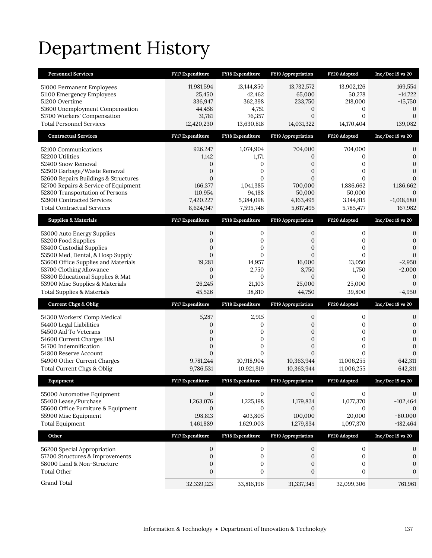# Department History

| <b>Personnel Services</b>                                               | <b>FY17 Expenditure</b> | FY18 Expenditure        | <b>FY19 Appropriation</b>        | FY20 Adopted        | $Inc/Dec$ 19 vs 20           |
|-------------------------------------------------------------------------|-------------------------|-------------------------|----------------------------------|---------------------|------------------------------|
| 51000 Permanent Employees                                               | 11,981,594              | 13,144,850              | 13,732,572                       | 13,902,126          | 169,554                      |
| 51100 Emergency Employees                                               | 25,450                  | 42,462                  | 65,000                           | 50,278              | $-14,722$                    |
| 51200 Overtime                                                          | 336,947                 | 362,398                 | 233,750                          | 218,000             | $-15,750$                    |
| 51600 Unemployment Compensation                                         | 44,458                  | 4,751                   | $\boldsymbol{0}$                 | 0                   | $\mathbf 0$                  |
| 51700 Workers' Compensation                                             | 31,781                  | 76,357                  | $\mathbf{0}$                     | $\mathbf{0}$        | $\mathbf{0}$                 |
| <b>Total Personnel Services</b>                                         | 12,420,230              | 13,630,818              | 14,031,322                       | 14,170,404          | 139,082                      |
| <b>Contractual Services</b>                                             | FY17 Expenditure        | FY18 Expenditure        | <b>FY19 Appropriation</b>        | FY20 Adopted        | $Inc/Dec 19$ vs $20$         |
| 52100 Communications                                                    | 926,247                 | 1,074,904               | 704,000                          | 704,000             | 0                            |
| 52200 Utilities                                                         | 1,142                   | 1,171                   | $\boldsymbol{0}$                 | 0                   | $\mathbf{0}$                 |
| 52400 Snow Removal                                                      | 0                       | 0                       | $\mathbf{0}$                     | 0                   | $\mathbf{0}$                 |
| 52500 Garbage/Waste Removal                                             | $\overline{0}$          | 0                       | $\mathbf{0}$                     | $\mathbf{0}$        | $\boldsymbol{0}$             |
| 52600 Repairs Buildings & Structures                                    | $\overline{0}$          | $\mathbf{0}$            | $\mathbf{0}$                     | $\Omega$            | $\mathbf{0}$                 |
| 52700 Repairs & Service of Equipment<br>52800 Transportation of Persons | 166,377<br>110,954      | 1,041,385<br>94,188     | 700,000<br>50,000                | 1,886,662<br>50,000 | 1,186,662<br>$\theta$        |
| 52900 Contracted Services                                               | 7,420,227               | 5,384,098               | 4,163,495                        | 3,144,815           | $-1,018,680$                 |
| <b>Total Contractual Services</b>                                       | 8,624,947               | 7,595,746               | 5,617,495                        | 5,785,477           | 167,982                      |
| <b>Supplies &amp; Materials</b>                                         | FY17 Expenditure        | <b>FY18 Expenditure</b> | <b>FY19 Appropriation</b>        | FY20 Adopted        | Inc/Dec 19 vs 20             |
| 53000 Auto Energy Supplies                                              | 0                       | 0                       | 0                                | 0                   | 0                            |
| 53200 Food Supplies                                                     | 0                       | $\mathbf{0}$            | 0                                | 0                   | $\mathbf{0}$                 |
| 53400 Custodial Supplies                                                | $\mathbf{0}$            | $\mathbf{0}$            | $\mathbf{0}$                     | $\mathbf{0}$        | $\mathbf{0}$                 |
| 53500 Med, Dental, & Hosp Supply                                        | $\overline{0}$          | $\mathbf{0}$            | $\mathbf{0}$                     | $\mathbf{0}$        | $\mathbf{0}$                 |
| 53600 Office Supplies and Materials                                     | 19,281                  | 14,957                  | 16,000                           | 13,050              | $-2,950$                     |
| 53700 Clothing Allowance                                                | $\mathbf{0}$            | 2,750                   | 3,750                            | 1,750               | $-2,000$                     |
| 53800 Educational Supplies & Mat                                        | $\overline{0}$          | $\mathbf{0}$            | $\mathbf{0}$                     | $\mathbf{0}$        | $\boldsymbol{0}$             |
|                                                                         |                         |                         |                                  |                     |                              |
| 53900 Misc Supplies & Materials                                         | 26,245                  | 21,103                  | 25,000                           | 25,000              | $\mathbf{0}$                 |
| <b>Total Supplies &amp; Materials</b>                                   | 45,526                  | 38,810                  | 44,750                           | 39,800              | $-4,950$                     |
| <b>Current Chgs &amp; Oblig</b>                                         | <b>FY17 Expenditure</b> | <b>FY18 Expenditure</b> | <b>FY19 Appropriation</b>        | FY20 Adopted        | $Inc/Dec 19$ vs $20$         |
| 54300 Workers' Comp Medical                                             | 5,287                   | 2,915                   | 0                                | 0                   | $\boldsymbol{0}$             |
| 54400 Legal Liabilities                                                 | 0                       | 0                       | $\boldsymbol{0}$                 | 0                   | $\boldsymbol{0}$             |
| 54500 Aid To Veterans                                                   | 0                       | 0                       | $\boldsymbol{0}$                 | $\mathbf{0}$        | $\boldsymbol{0}$             |
| 54600 Current Charges H&I                                               | $\overline{0}$          | $\mathbf{0}$            | $\mathbf{0}$                     | $\mathbf{0}$        | $\mathbf{0}$                 |
| 54700 Indemnification<br>54800 Reserve Account                          | 0<br>$\overline{0}$     | 0<br>$\mathbf{0}$       | $\boldsymbol{0}$<br>$\mathbf{0}$ | 0<br>$\Omega$       | $\mathbf{0}$<br>$\mathbf{0}$ |
| 54900 Other Current Charges                                             | 9,781,244               | 10,918,904              | 10,363,944                       | 11,006,255          | 642,311                      |
| Total Current Chgs & Oblig                                              | 9,786,531               | 10,921,819              | 10,363,944                       | 11,006,255          | 642,311                      |
| Equipment                                                               | <b>FY17 Expenditure</b> | <b>FY18 Expenditure</b> | <b>FY19 Appropriation</b>        | FY20 Adopted        | $Inc/Dec 19$ vs $20$         |
|                                                                         | $\mathbf{0}$            | $\mathbf{0}$            | $\mathbf{0}$                     | 0                   | 0                            |
| 55000 Automotive Equipment<br>55400 Lease/Purchase                      | 1,263,076               | 1,225,198               | 1,179,834                        | 1,077,370           | $-102,464$                   |
| 55600 Office Furniture & Equipment                                      | $\mathbf{0}$            | $\mathbf{0}$            | $\mathbf{0}$                     | 0                   | $\mathbf{0}$                 |
| 55900 Misc Equipment                                                    | 198,813                 | 403,805                 | 100,000                          | 20,000              | $-80,000$                    |
| <b>Total Equipment</b>                                                  | 1,461,889               | 1,629,003               | 1,279,834                        | 1,097,370           | $-182,464$                   |
| Other                                                                   | FY17 Expenditure        | FY18 Expenditure        | FY19 Appropriation               | FY20 Adopted        | Inc/Dec 19 vs 20             |
|                                                                         | $\mathbf{0}$            | $\mathbf{0}$            | 0                                | $\boldsymbol{0}$    | 0                            |
| 56200 Special Appropriation<br>57200 Structures & Improvements          | $\mathbf{0}$            | $\boldsymbol{0}$        | $\boldsymbol{0}$                 | 0                   | $\boldsymbol{0}$             |
| 58000 Land & Non-Structure                                              | $\mathbf{0}$            | 0                       | $\boldsymbol{0}$                 | $\boldsymbol{0}$    | $\mathbf{0}$                 |
| <b>Total Other</b>                                                      | $\boldsymbol{0}$        | 0                       | $\boldsymbol{0}$                 | $\boldsymbol{0}$    | $\mathbf{0}$                 |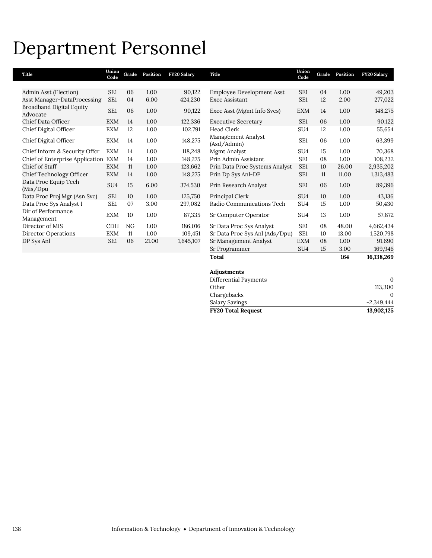## Department Personnel

| <b>Title</b>                         | Union<br>Code   | Grade | Position | <b>FY20 Salary</b> | Title                             | Union<br>Code   | Grade | Position | <b>FY20 Salary</b> |
|--------------------------------------|-----------------|-------|----------|--------------------|-----------------------------------|-----------------|-------|----------|--------------------|
|                                      |                 |       |          |                    |                                   |                 |       |          |                    |
| Admin Asst (Election)                | SE1             | 06    | 1.00     | 90,122             | <b>Employee Development Asst</b>  | SE <sub>1</sub> | 04    | 1.00     | 49,203             |
| Asst Manager-DataProcessing          | SE <sub>1</sub> | 04    | 6.00     | 424,230            | Exec Assistant                    | SE <sub>1</sub> | 12    | 2.00     | 277,022            |
| Broadband Digital Equity<br>Advocate | SE <sub>1</sub> | 06    | 1.00     | 90,122             | Exec Asst (Mgmt Info Svcs)        | <b>EXM</b>      | 14    | 1.00     | 148,275            |
| Chief Data Officer                   | <b>EXM</b>      | 14    | 1.00     | 122,336            | <b>Executive Secretary</b>        | SE <sub>1</sub> | 06    | 1.00     | 90,122             |
| Chief Digital Officer                | <b>EXM</b>      | 12    | 1.00     | 102,791            | Head Clerk                        | SU <sub>4</sub> | 12    | 1.00     | 55,654             |
| Chief Digital Officer                | <b>EXM</b>      | 14    | 1.00     | 148,275            | Management Analyst<br>(Asd/Admin) | SE <sub>1</sub> | 06    | 1.00     | 63,399             |
| Chief Inform & Security Offcr        | <b>EXM</b>      | 14    | 1.00     | 118,248            | Mgmt Analyst                      | SU <sub>4</sub> | 15    | 1.00     | 70,368             |
| Chief of Enterprise Application EXM  |                 | 14    | 1.00     | 148,275            | Prin Admin Assistant              | SE <sub>1</sub> | 08    | 1.00     | 108,232            |
| Chief of Staff                       | <b>EXM</b>      | 11    | 1.00     | 123,662            | Prin Data Proc Systems Analyst    | SE <sub>1</sub> | 10    | 26.00    | 2,935,202          |
| Chief Technology Officer             | <b>EXM</b>      | 14    | 1.00     | 148,275            | Prin Dp Sys Anl-DP                | SE <sub>1</sub> | 11    | 11.00    | 1,313,483          |
| Data Proc Equip Tech<br>(Mis/Dpu     | SU <sub>4</sub> | 15    | 6.00     | 374,530            | Prin Research Analyst             | SE <sub>1</sub> | 06    | 1.00     | 89,396             |
| Data Proc Proj Mgr (Asn Svc)         | SE1             | 10    | 1.00     | 125,750            | Principal Clerk                   | SU <sub>4</sub> | 10    | 1.00     | 43,136             |
| Data Proc Sys Analyst I              | SE <sub>1</sub> | 07    | 3.00     | 297,082            | Radio Communications Tech         | SU <sub>4</sub> | 15    | 1.00     | 50,430             |
| Dir of Performance<br>Management     | <b>EXM</b>      | 10    | 1.00     | 87,335             | Sr Computer Operator              | SU <sub>4</sub> | 13    | 1.00     | 57,872             |
| Director of MIS                      | <b>CDH</b>      | NG    | 1.00     | 186,016            | Sr Data Proc Sys Analyst          | SE <sub>1</sub> | 08    | 48.00    | 4,662,434          |
| Director Operations                  | <b>EXM</b>      | 11    | 1.00     | 109,451            | Sr Data Proc Sys Anl (Ads/Dpu)    | SE <sub>1</sub> | 10    | 13.00    | 1,520,798          |
| DP Sys Anl                           | SE <sub>1</sub> | 06    | 21.00    | 1,645,107          | Sr Management Analyst             | <b>EXM</b>      | 08    | 1.00     | 91,690             |
|                                      |                 |       |          |                    | Sr Programmer                     | SU <sub>4</sub> | 15    | 3.00     | 169,946            |
|                                      |                 |       |          |                    | <b>Total</b>                      |                 |       | 164      | 16,138,269         |

#### **Adjustments**

| $-2,349,444$ |
|--------------|
|              |
|              |
| 113,300      |
|              |
|              |

L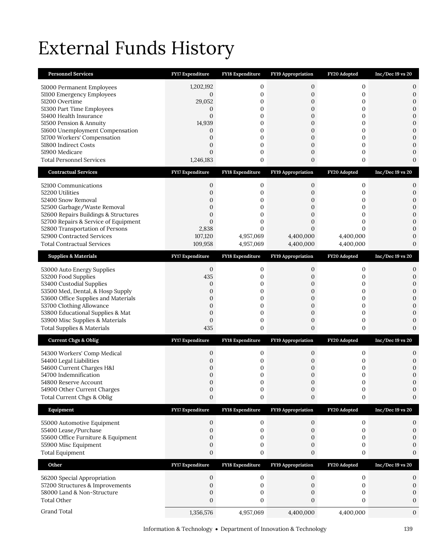# External Funds History

| <b>Personnel Services</b>                                           | FY17 Expenditure                 | FY18 Expenditure  | FY19 Appropriation                 | FY20 Adopted          | $Inc/Dec 19$ vs $20$             |
|---------------------------------------------------------------------|----------------------------------|-------------------|------------------------------------|-----------------------|----------------------------------|
| 51000 Permanent Employees                                           | 1,202,192                        | 0                 | 0                                  | $\mathbf{0}$          | 0                                |
| 51100 Emergency Employees                                           | 0                                | 0                 | 0                                  | 0                     | $\boldsymbol{0}$                 |
| 51200 Overtime                                                      | 29,052                           | 0                 | 0                                  | 0                     | $\overline{0}$                   |
| 51300 Part Time Employees                                           | 0                                | 0                 | 0                                  | 0                     | $\boldsymbol{0}$                 |
| 51400 Health Insurance<br>51500 Pension & Annuity                   | $\overline{0}$<br>14,939         | $\mathbf{0}$<br>0 | $\overline{0}$<br>$\boldsymbol{0}$ | $\mathbf{0}$<br>0     | $\mathbf{0}$<br>$\boldsymbol{0}$ |
| 51600 Unemployment Compensation                                     | 0                                | 0                 | $\boldsymbol{0}$                   | 0                     | $\mathbf{0}$                     |
| 51700 Workers' Compensation                                         | $\overline{0}$                   | 0                 | 0                                  | 0                     | $\mathbf{0}$                     |
| 51800 Indirect Costs                                                | $\overline{0}$                   | 0                 | 0                                  | 0                     | $\overline{0}$                   |
| 51900 Medicare                                                      | $\Omega$                         | 0                 | $\mathbf{0}$                       | 0                     | $\mathbf{0}$                     |
| <b>Total Personnel Services</b>                                     | 1,246,183                        | 0                 | 0                                  | 0                     | $\boldsymbol{0}$                 |
| <b>Contractual Services</b>                                         | <b>FY17 Expenditure</b>          | FY18 Expenditure  | <b>FY19 Appropriation</b>          | FY20 Adopted          | $Inc/Dec 19$ vs 20               |
| 52100 Communications                                                | 0                                | 0                 | 0                                  | $\mathbf{0}$          | 0                                |
| 52200 Utilities                                                     | $\overline{0}$                   | 0                 | 0                                  | 0                     | $\boldsymbol{0}$                 |
| 52400 Snow Removal                                                  | $\mathbf 0$                      | 0                 | 0                                  | 0                     | $\boldsymbol{0}$                 |
| 52500 Garbage/Waste Removal<br>52600 Repairs Buildings & Structures | $\overline{0}$<br>$\overline{0}$ | 0<br>0            | 0<br>0                             | 0<br>0                | $\mathbf{0}$<br>$\mathbf{0}$     |
| 52700 Repairs & Service of Equipment                                | $\overline{0}$                   | 0                 | $\mathbf{0}$                       | 0                     | $\overline{0}$                   |
| 52800 Transportation of Persons                                     | 2,838                            | $\mathbf{0}$      | $\overline{0}$                     | $\Omega$              | $\mathbf{0}$                     |
| 52900 Contracted Services                                           | 107,120                          | 4,957,069         | 4,400,000                          | 4,400,000             | $\mathbf{0}$                     |
| <b>Total Contractual Services</b>                                   | 109,958                          | 4,957,069         | 4,400,000                          | 4,400,000             | $\mathbf{0}$                     |
| <b>Supplies &amp; Materials</b>                                     | <b>FY17 Expenditure</b>          | FY18 Expenditure  | FY19 Appropriation                 | FY20 Adopted          | $Inc/Dec 19$ vs $20$             |
| 53000 Auto Energy Supplies                                          | $\mathbf{0}$                     | 0                 | 0                                  | 0                     | 0                                |
| 53200 Food Supplies                                                 | 435                              | 0                 | 0                                  | 0                     | $\mathbf{0}$                     |
| 53400 Custodial Supplies                                            | 0                                | 0                 | 0                                  | 0                     | $\mathbf{0}$                     |
| 53500 Med, Dental, & Hosp Supply                                    | $\mathbf{0}$                     | 0                 | $\boldsymbol{0}$                   | 0                     | $\mathbf{0}$                     |
| 53600 Office Supplies and Materials<br>53700 Clothing Allowance     | $\overline{0}$<br>$\mathbf{0}$   | 0<br>0            | 0<br>0                             | 0<br>0                | $\boldsymbol{0}$<br>$\mathbf{0}$ |
| 53800 Educational Supplies & Mat                                    |                                  |                   | $\boldsymbol{0}$                   | 0                     | $\overline{0}$                   |
|                                                                     | $\mathbf{0}$                     | 0                 |                                    |                       |                                  |
| 53900 Misc Supplies & Materials                                     | $\overline{0}$                   | 0                 | 0                                  | 0                     | $\mathbf{0}$                     |
| <b>Total Supplies &amp; Materials</b>                               | 435                              | 0                 | $\boldsymbol{0}$                   | 0                     | $\mathbf{0}$                     |
| <b>Current Chgs &amp; Oblig</b>                                     | <b>FY17 Expenditure</b>          | FY18 Expenditure  | FY19 Appropriation                 | FY20 Adopted          | $Inc/Dec 19$ vs $20$             |
|                                                                     |                                  |                   |                                    |                       |                                  |
| 54300 Workers' Comp Medical<br>54400 Legal Liabilities              | 0<br>0                           | 0<br>0            | 0<br>0                             | 0<br>0                | 0<br>$\boldsymbol{0}$            |
| 54600 Current Charges H&I                                           | $\mathbf 0$                      | 0                 | 0                                  | 0                     | $\mathbf{0}$                     |
| 54700 Indemnification                                               | $\mathbf 0$                      | 0                 | 0                                  | 0                     | $\mathbf{0}$                     |
| 54800 Reserve Account                                               | $\Omega$                         | $\Omega$          | $\Omega$                           | $\Omega$              | $\Omega$                         |
| 54900 Other Current Charges<br>Total Current Chgs & Oblig           | 0<br>$\boldsymbol{0}$            | 0<br>0            | 0<br>0                             | $\boldsymbol{0}$<br>0 | 0<br>0                           |
|                                                                     | <b>FY17 Expenditure</b>          | FY18 Expenditure  | FY19 Appropriation                 | FY20 Adopted          | Inc/Dec 19 vs 20                 |
| Equipment                                                           |                                  |                   |                                    |                       |                                  |
| 55000 Automotive Equipment                                          | $\boldsymbol{0}$                 | 0                 | 0                                  | $\boldsymbol{0}$      | 0                                |
| 55400 Lease/Purchase                                                | 0<br>$\overline{0}$              | 0<br>0            | 0<br>0                             | $\mathbf{0}$<br>0     | 0                                |
| 55600 Office Furniture & Equipment<br>55900 Misc Equipment          | 0                                | 0                 | 0                                  | 0                     | $\Omega$                         |
| <b>Total Equipment</b>                                              | $\boldsymbol{0}$                 | 0                 | 0                                  | 0                     | $\boldsymbol{0}$                 |
| Other                                                               | FY17 Expenditure                 | FY18 Expenditure  | FY19 Appropriation                 | FY20 Adopted          | $Inc/Dec 19$ vs $20$             |
|                                                                     | 0                                | 0                 | 0                                  | 0                     | 0                                |
| 56200 Special Appropriation<br>57200 Structures & Improvements      | 0                                | 0                 | 0                                  | $\mathbf{0}$          | 0                                |
| 58000 Land & Non-Structure                                          | 0                                | 0                 | 0                                  | 0                     | 0                                |
| <b>Total Other</b>                                                  | $\boldsymbol{0}$                 | 0                 | $\mathbf{0}$                       | 0                     | 0                                |
| Grand Total                                                         | 1,356,576                        | 4,957,069         | 4,400,000                          | 4,400,000             | $\mathbf{0}$                     |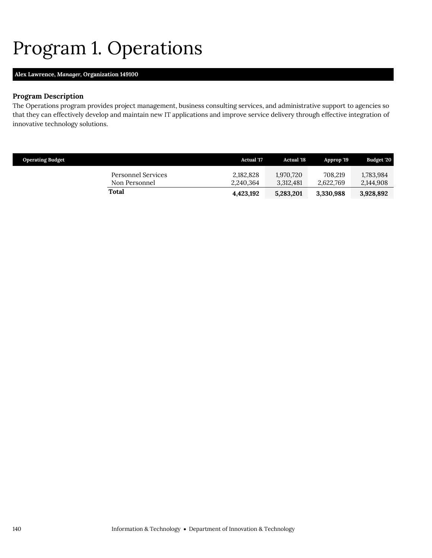## <span id="page-9-0"></span>Program 1. Operations

## **Alex Lawrence,** *Manager,* **Organization 149100**

## **Program Description**

The Operations program provides project management, business consulting services, and administrative support to agencies so that they can effectively develop and maintain new IT applications and improve service delivery through effective integration of innovative technology solutions.

| <b>Operating Budget</b>             | <b>Actual</b> '17      | <b>Actual</b> '18      | Approp '19           | Budget '20             |
|-------------------------------------|------------------------|------------------------|----------------------|------------------------|
| Personnel Services<br>Non Personnel | 2,182,828<br>2,240,364 | 1.970.720<br>3.312.481 | 708.219<br>2.622.769 | 1,783,984<br>2,144,908 |
| Total                               | 4,423,192              | 5,283,201              | 3,330,988            | 3,928,892              |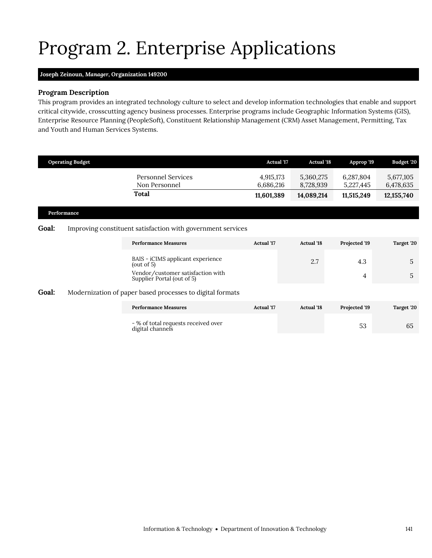# Program 2. Enterprise Applications

## <span id="page-10-0"></span>**Joseph Zeinoun,** *Manager,* **Organization 149200**

## **Program Description**

This program provides an integrated technology culture to select and develop information technologies that enable and support critical citywide, crosscutting agency business processes. Enterprise programs include Geographic Information Systems (GIS), Enterprise Resource Planning (PeopleSoft), Constituent Relationship Management (CRM) Asset Management, Permitting, Tax and Youth and Human Services Systems.

|              | <b>Operating Budget</b> |                                                                 | <b>Actual 17</b>                     | <b>Actual '18</b>                    | Approp '19                           | Budget '20                             |
|--------------|-------------------------|-----------------------------------------------------------------|--------------------------------------|--------------------------------------|--------------------------------------|----------------------------------------|
|              |                         | Personnel Services<br>Non Personnel<br>Total                    | 4,915,173<br>6,686,216<br>11,601,389 | 5,360,275<br>8,728,939<br>14,089,214 | 6,287,804<br>5,227,445<br>11,515,249 | 5,677,105<br>6,478,635<br>12, 155, 740 |
| Performance  |                         |                                                                 |                                      |                                      |                                      |                                        |
| <b>Goal:</b> |                         | Improving constituent satisfaction with government services     |                                      |                                      |                                      |                                        |
|              |                         | <b>Performance Measures</b>                                     | <b>Actual</b> '17                    | <b>Actual</b> '18                    | Projected '19                        | Target '20                             |
|              |                         | BAIS - iCIMS applicant experience<br>(out of $5$ )              |                                      | 2.7                                  | 4.3                                  | 5                                      |
|              |                         | Vendor/customer satisfaction with<br>Supplier Portal (out of 5) |                                      |                                      | 4                                    | 5                                      |
| Goal:        |                         | Modernization of paper based processes to digital formats       |                                      |                                      |                                      |                                        |
|              |                         | <b>Performance Measures</b>                                     | <b>Actual</b> '17                    | <b>Actual</b> '18                    | Projected '19                        | Target '20                             |
|              |                         | - % of total requests received over<br>digital channels         |                                      |                                      | 53                                   | 65                                     |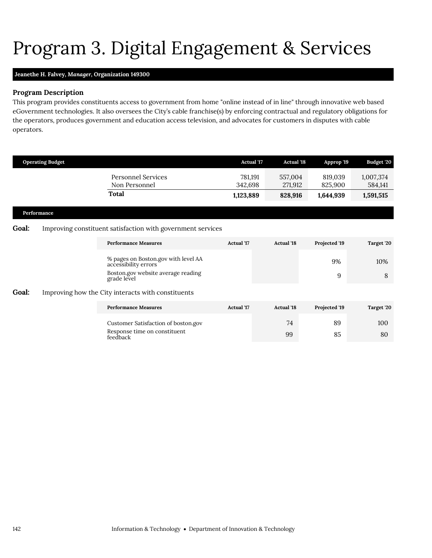# <span id="page-11-0"></span>Program 3. Digital Engagement & Services

## **Jeanethe H. Falvey,** *Manager,* **Organization 149300**

## **Program Description**

This program provides constituents access to government from home "online instead of in line" through innovative web based eGovernment technologies. It also oversees the City's cable franchise(s) by enforcing contractual and regulatory obligations for the operators, produces government and education access television, and advocates for customers in disputes with cable operators.

|       | <b>Operating Budget</b> |                                                             | <b>Actual '17</b>  | <b>Actual</b> '18  | Approp '19         | <b>Budget '20</b>    |
|-------|-------------------------|-------------------------------------------------------------|--------------------|--------------------|--------------------|----------------------|
|       |                         | <b>Personnel Services</b><br>Non Personnel                  | 781,191<br>342,698 | 557,004<br>271,912 | 819,039<br>825,900 | 1,007,374<br>584,141 |
|       |                         | Total                                                       | 1,123,889          | 828,916            | 1,644,939          | 1,591,515            |
|       | Performance             |                                                             |                    |                    |                    |                      |
| Goal: |                         | Improving constituent satisfaction with government services |                    |                    |                    |                      |
|       |                         | <b>Performance Measures</b>                                 | Actual '17         | <b>Actual</b> '18  | Projected '19      | Target '20           |
|       |                         | % pages on Boston.gov with level AA accessibility errors    |                    |                    | 9%                 | 10%                  |
|       |                         | Boston.gov website average reading<br>grade level           |                    |                    | 9                  | 8                    |
| Goal: |                         | Improving how the City interacts with constituents          |                    |                    |                    |                      |
|       |                         | <b>Performance Measures</b>                                 | <b>Actual</b> '17  | <b>Actual</b> '18  | Projected '19      | Target '20           |
|       |                         | Customer Satisfaction of boston.gov                         |                    | 74                 | 89                 | 100                  |
|       |                         | Response time on constituent<br>feedback                    |                    | 99                 | 85                 | 80                   |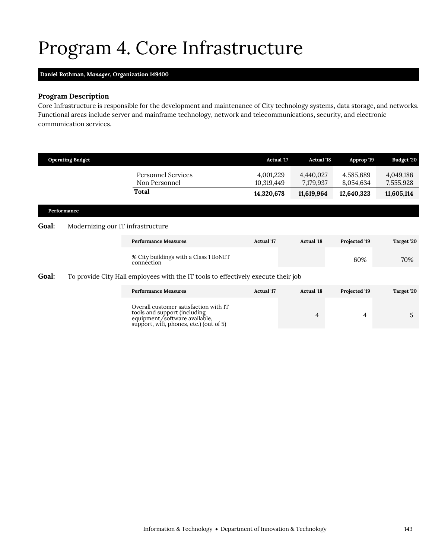# <span id="page-12-0"></span>Program 4. Core Infrastructure

## **Daniel Rothman,** *Manager,* **Organization 149400**

## **Program Description**

Core Infrastructure is responsible for the development and maintenance of City technology systems, data storage, and networks. Functional areas include server and mainframe technology, network and telecommunications, security, and electronic communication services.

|              | <b>Operating Budget</b>                                                           |                                                                                                                                                   | <b>Actual '17</b>       | <b>Actual '18</b>      | Approp '19             | <b>Budget '20</b>      |
|--------------|-----------------------------------------------------------------------------------|---------------------------------------------------------------------------------------------------------------------------------------------------|-------------------------|------------------------|------------------------|------------------------|
|              |                                                                                   | <b>Personnel Services</b><br>Non Personnel                                                                                                        | 4,001,229<br>10,319,449 | 4,440,027<br>7,179,937 | 4,585,689<br>8,054,634 | 4,049,186<br>7,555,928 |
|              |                                                                                   | Total                                                                                                                                             | 14,320,678              | 11,619,964             | 12,640,323             | 11,605,114             |
|              | Performance                                                                       |                                                                                                                                                   |                         |                        |                        |                        |
| <b>Goal:</b> | Modernizing our IT infrastructure                                                 |                                                                                                                                                   |                         |                        |                        |                        |
|              |                                                                                   | <b>Performance Measures</b>                                                                                                                       | <b>Actual</b> '17       | <b>Actual</b> '18      | Projected '19          | Target '20             |
|              |                                                                                   | % City buildings with a Class 1 BoNET<br>connection                                                                                               |                         |                        | 60%                    | 70%                    |
| Goal:        | To provide City Hall employees with the IT tools to effectively execute their job |                                                                                                                                                   |                         |                        |                        |                        |
|              |                                                                                   | <b>Performance Measures</b>                                                                                                                       | <b>Actual</b> '17       | <b>Actual</b> '18      | Projected '19          | Target '20             |
|              |                                                                                   | Overall customer satisfaction with IT<br>tools and support (including<br>equipment/software available,<br>support, wifi, phones, etc.) (out of 5) |                         | 4                      | 4                      | 5                      |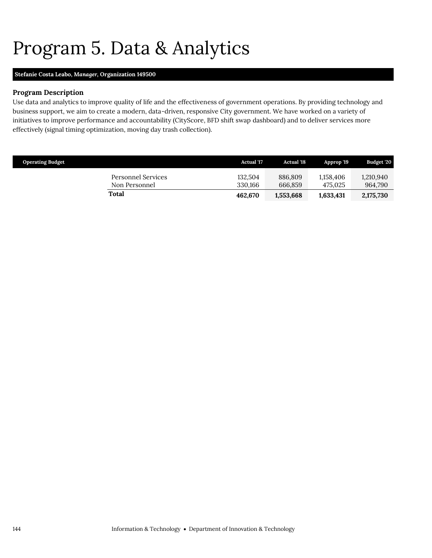## <span id="page-13-0"></span>Program 5. Data & Analytics

## **Stefanie Costa Leabo,** *Manager,* **Organization 149500**

## **Program Description**

Use data and analytics to improve quality of life and the effectiveness of government operations. By providing technology and business support, we aim to create a modern, data-driven, responsive City government. We have worked on a variety of initiatives to improve performance and accountability (CityScore, BFD shift swap dashboard) and to deliver services more effectively (signal timing optimization, moving day trash collection).

| <b>Operating Budget</b> |                                     | Actual '17         | <b>Actual</b> '18  | Approp '19           | Budget '20           |
|-------------------------|-------------------------------------|--------------------|--------------------|----------------------|----------------------|
|                         | Personnel Services<br>Non Personnel | 132.504<br>330.166 | 886.809<br>666.859 | 1.158.406<br>475.025 | 1,210,940<br>964,790 |
|                         | Total                               | 462.670            | 1,553,668          | 1,633,431            | 2,175,730            |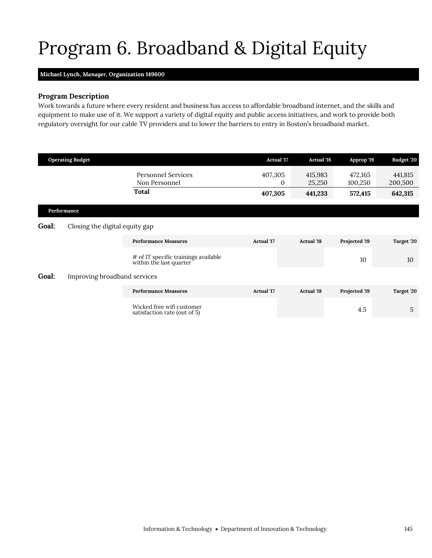# <span id="page-14-0"></span>Program 6. Broadband & Digital Equity

### **Michael Lynch,** *Manager,* **Organization 149600**

## **Program Description**

Work towards a future where every resident and business has access to affordable broadband internet, and the skills and equipment to make use of it. We support a variety of digital equity and public access initiatives, and work to provide both regulatory oversight for our cable TV providers and to lower the barriers to entry in Boston's broadband market.

|       | <b>Operating Budget</b>        |                                                                 | <b>Actual '17</b>       | <b>Actual '18</b> | Approp '19         | Budget '20         |
|-------|--------------------------------|-----------------------------------------------------------------|-------------------------|-------------------|--------------------|--------------------|
|       |                                | <b>Personnel Services</b><br>Non Personnel                      | 407,305<br>$\mathbf{0}$ | 415,983<br>25,250 | 472,165<br>100,250 | 441,815<br>200,500 |
|       |                                | Total                                                           | 407,305                 | 441,233           | 572,415            | 642,315            |
|       | Performance                    |                                                                 |                         |                   |                    |                    |
| Goal: | Closing the digital equity gap |                                                                 |                         |                   |                    |                    |
|       |                                | <b>Performance Measures</b>                                     | <b>Actual '17</b>       | <b>Actual</b> '18 | Projected '19      | Target '20         |
|       |                                | # of IT specific trainings available<br>within the last quarter |                         |                   | 10                 | 10                 |
| Goal: | Improving broadband services   |                                                                 |                         |                   |                    |                    |
|       |                                | <b>Performance Measures</b>                                     | <b>Actual</b> '17       | <b>Actual</b> '18 | Projected '19      | Target '20         |
|       |                                | Wicked free wifi customer<br>satisfaction rate (out of 5)       |                         |                   | 4.5                | 5                  |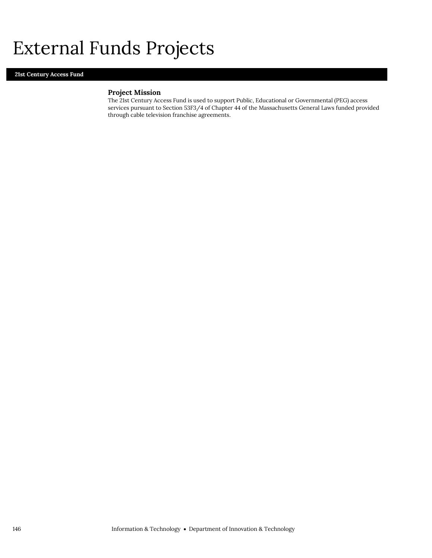## External Funds Projects

### **21st Century Access Fund**

## **Project Mission**

The 21st Century Access Fund is used to support Public, Educational or Governmental (PEG) access services pursuant to Section 53F3/4 of Chapter 44 of the Massachusetts General Laws funded provided through cable television franchise agreements.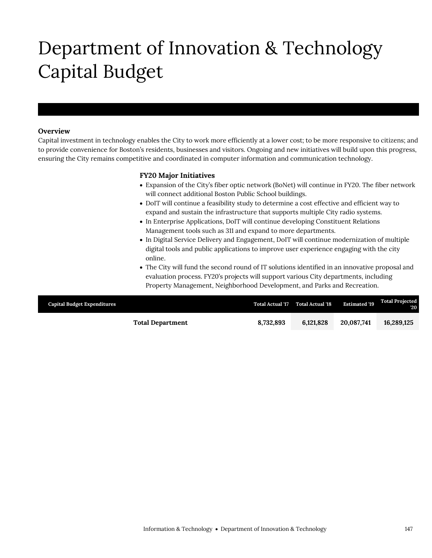# Department of Innovation & Technology Capital Budget

## **Overview**

Department of Innovation & Technology

Capital investment in technology enables the City to work more efficiently at a lower cost; to be more responsive to citizens; and to provide convenience for Boston's residents, businesses and visitors. Ongoing and new initiatives will build upon this progress, ensuring the City remains competitive and coordinated in computer information and communication technology.

### **FY20 Major Initiatives**

- Expansion of the City's fiber optic network (BoNet) will continue in FY20. The fiber network will connect additional Boston Public School buildings.
- DoIT will continue a feasibility study to determine a cost effective and efficient way to expand and sustain the infrastructure that supports multiple City radio systems.
- In Enterprise Applications, DoIT will continue developing Constituent Relations Management tools such as 311 and expand to more departments.
- In Digital Service Delivery and Engagement, DoIT will continue modernization of multiple digital tools and public applications to improve user experience engaging with the city online.
- The City will fund the second round of IT solutions identified in an innovative proposal and evaluation process. FY20's projects will support various City departments, including Property Management, Neighborhood Development, and Parks and Recreation.

| <b>Capital Budget Expenditures</b> |           | Total Actual '17 Total Actual '18 | <b>Estimated '19</b> | <b>Total Projected</b><br>''20 |
|------------------------------------|-----------|-----------------------------------|----------------------|--------------------------------|
| <b>Total Department</b>            | 8.732.893 | 6.121.828                         | 20,087,741           | 16,289,125                     |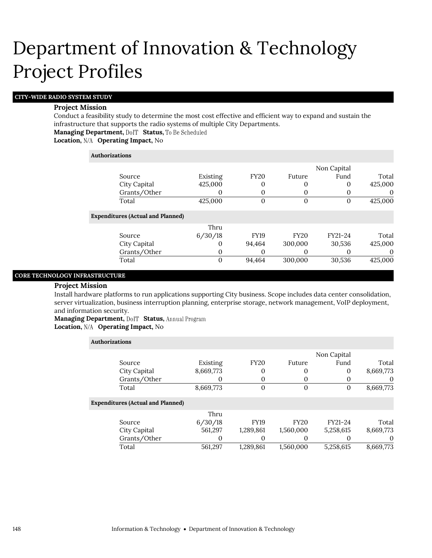## **CITY-WIDE RADIO SYSTEM STUDY**

#### **Project Mission**

Conduct a feasibility study to determine the most cost effective and efficient way to expand and sustain the infrastructure that supports the radio systems of multiple City Departments. **Managing Department, DolT Status, To Be Scheduled** 

**Location, Operating Impact,** No

#### **Authorizations**

Exp

|                                |          |             |             | Non Capital |          |
|--------------------------------|----------|-------------|-------------|-------------|----------|
| Source                         | Existing | <b>FY20</b> | Future      | Fund        | Total    |
| City Capital                   | 425,000  | 0           | $\theta$    | $\Omega$    | 425,000  |
| Grants/Other                   | O        | 0           |             |             | $\theta$ |
| Total                          | 425,000  | 0           | $\Omega$    | 0           | 425,000  |
| enditures (Actual and Planned) |          |             |             |             |          |
|                                | Thru     |             |             |             |          |
| Source                         | 6/30/18  | <b>FY19</b> | <b>FY20</b> | FY21-24     | Total    |
| City Capital                   | 0        | 94.464      | 300,000     | 30,536      | 425,000  |
| Grants/Other                   | 0        | 0           |             |             | $\theta$ |
| Total                          | 0        | 94.464      | 300,000     | 30,536      | 425,000  |
|                                |          |             |             |             |          |

### **CORE TECHNOLOGY INFRASTRUCTURE**

#### **Project Mission**

Install hardware platforms to run applications supporting City business. Scope includes data center consolidation, server virtualization, business interruption planning, enterprise storage, network management, VoIP deployment, and information security.

**Managing Department, DoIT Status, Annual Program Location, N/A Operating Impact, No** 

| <b>Authorizations</b>                    |           |                |                |             |           |
|------------------------------------------|-----------|----------------|----------------|-------------|-----------|
|                                          |           |                |                | Non Capital |           |
| Source                                   | Existing  | <b>FY20</b>    | Future         | Fund        | Total     |
| City Capital                             | 8,669,773 | 0              | 0              | 0           | 8,669,773 |
| Grants/Other                             | O         | 0              | 0              | 0           | $\theta$  |
| Total                                    | 8,669,773 | $\overline{0}$ | $\overline{0}$ | 0           | 8,669,773 |
| <b>Expenditures (Actual and Planned)</b> |           |                |                |             |           |
|                                          | Thru      |                |                |             |           |
| Source                                   | 6/30/18   | <b>FY19</b>    | <b>FY20</b>    | FY21-24     | Total     |
| City Capital                             | 561,297   | 1,289,861      | 1,560,000      | 5,258,615   | 8,669,773 |
| Grants/Other                             | 0         | 0              | $\Omega$       | O           | $\theta$  |
| Total                                    | 561.297   | 1.289.861      | 1.560.000      | 5,258,615   | 8,669,773 |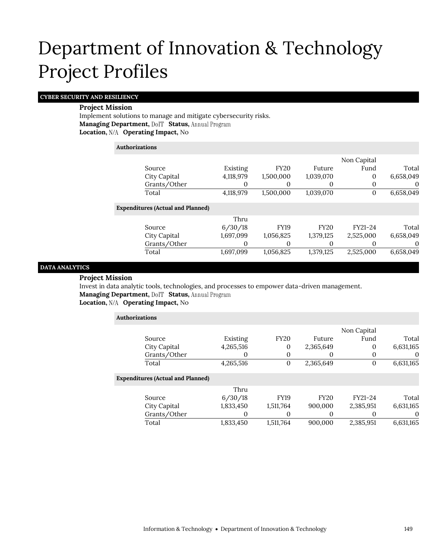### **CYBER SECURITY AND RESILIENCY**

#### **Project Mission**

Implement solutions to manage and mitigate cybersecurity risks. **Managing Department, DoIT Status, Annual Program Location, N/A Operating Impact, No** 

## **Authorizations**

|                                          |           |             |             | Non Capital |           |
|------------------------------------------|-----------|-------------|-------------|-------------|-----------|
| Source                                   | Existing  | <b>FY20</b> | Future      | Fund        | Total     |
| City Capital                             | 4,118,979 | 1,500,000   | 1,039,070   | 0           | 6,658,049 |
| Grants/Other                             | 0         | 0           | $\Omega$    | 0           | 0         |
| Total                                    | 4,118,979 | 1,500,000   | 1,039,070   | 0           | 6,658,049 |
| <b>Expenditures (Actual and Planned)</b> |           |             |             |             |           |
|                                          | Thru      |             |             |             |           |
| Source                                   | 6/30/18   | <b>FY19</b> | <b>FY20</b> | FY21-24     | Total     |
| City Capital                             | 1,697,099 | 1,056,825   | 1,379,125   | 2,525,000   | 6,658,049 |
| Grants/Other                             | 0         | 0           |             | $\Omega$    | 0         |
| Total                                    | 1,697,099 | 1,056,825   | 1,379,125   | 2,525,000   | 6,658,049 |
|                                          |           |             |             |             |           |

## **DATA ANALYTICS**

#### **Project Mission**

Invest in data analytic tools, technologies, and processes to empower data-driven management. **Managing Department, DoIT Status, Annual Program** 

**Location, N/A Operating Impact, No** 

| <b>Authorizations</b>                    |              |           |             |             |             |           |
|------------------------------------------|--------------|-----------|-------------|-------------|-------------|-----------|
|                                          |              |           |             |             | Non Capital |           |
| Source                                   |              | Existing  | <b>FY20</b> | Future      | Fund        | Total     |
| City Capital                             |              | 4,265,516 | 0           | 2,365,649   | 0           | 6,631,165 |
|                                          | Grants/Other | O         | 0           | $\theta$    | 0           | $\theta$  |
| Total                                    |              | 4,265,516 | $\theta$    | 2,365,649   | $\Omega$    | 6,631,165 |
| <b>Expenditures (Actual and Planned)</b> |              |           |             |             |             |           |
|                                          |              | Thru      |             |             |             |           |
| Source                                   |              | 6/30/18   | FY19        | <b>FY20</b> | FY21-24     | Total     |
| City Capital                             |              | 1,833,450 | 1,511,764   | 900,000     | 2,385,951   | 6,631,165 |
|                                          | Grants/Other | $\Omega$  | 0           | 0           | $\theta$    | 0         |
| Total                                    |              | 1,833,450 | 1,511,764   | 900,000     | 2,385,951   | 6,631,165 |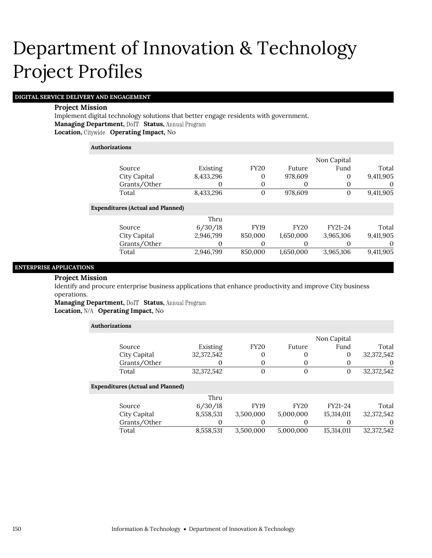## **DIGITAL SERVICE DELIVERY AND ENGAGEMENT**

#### **Project Mission**

Implement digital technology solutions that better engage residents with government. **Managing Department, DoIT Status, Annual Program Location, Operating Impact,** No

## **Authorizations**

|           |             |             | Non Capital |           |
|-----------|-------------|-------------|-------------|-----------|
|           |             |             |             |           |
| Existing  | <b>FY20</b> | Future      | Fund        | Total     |
| 8,433,296 | 0           | 978,609     | 0           | 9,411,905 |
|           | 0           | 0           | 0           | 0         |
| 8,433,296 | 0           | 978,609     | 0           | 9,411,905 |
|           |             |             |             |           |
| Thru      |             |             |             |           |
| 6/30/18   | <b>FY19</b> | <b>FY20</b> | FY21-24     | Total     |
| 2,946,799 | 850,000     | 1,650,000   | 3,965,106   | 9,411,905 |
|           | 0           | 0           | O           | $\theta$  |
| 2,946,799 | 850,000     | 1,650,000   | 3,965,106   | 9,411,905 |
|           |             |             |             |           |

#### **ENTERPRISE APPLICATIONS**

#### **Project Mission**

Identify and procure enterprise business applications that enhance productivity and improve City business operations.

Managing Department, DoIT Status, Annual Program Location, N/A Operating Impact, No

| <b>Authorizations</b>                    |              |                |             |             |            |
|------------------------------------------|--------------|----------------|-------------|-------------|------------|
|                                          |              |                |             | Non Capital |            |
| Source                                   | Existing     | <b>FY20</b>    | Future      | Fund        | Total      |
| City Capital                             | 32, 372, 542 | 0              | 0           | $\Omega$    | 32,372,542 |
| Grants/Other                             | O            | 0              | $\Omega$    |             | $\theta$   |
| Total                                    | 32,372,542   | $\overline{0}$ | $\Omega$    | $\Omega$    | 32,372,542 |
| <b>Expenditures (Actual and Planned)</b> |              |                |             |             |            |
|                                          | Thru         |                |             |             |            |
| Source                                   | 6/30/18      | <b>FY19</b>    | <b>FY20</b> | FY21-24     | Total      |
| City Capital                             | 8,558,531    | 3,500,000      | 5,000,000   | 15,314,011  | 32,372,542 |
| Grants/Other                             |              | 0              | $\Omega$    |             | $\theta$   |
| Total                                    | 8,558,531    | 3,500,000      | 5.000.000   | 15.314.011  | 32,372,542 |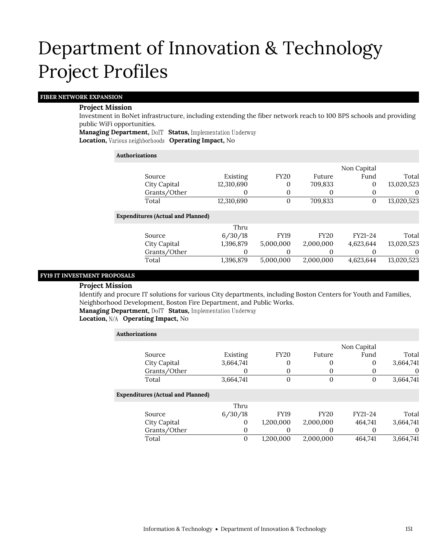#### **FIBER NETWORK EXPANSION**

#### **Project Mission**

Investment in BoNet infrastructure, including extending the fiber network reach to 100 BPS schools and providing public WiFi opportunities.

**Managing Department, DolT Status, Implementation Underway** 

**Location, Various neighborhoods Operating Impact, No** 

| Authorizations                           |              |            |              |             |             |            |
|------------------------------------------|--------------|------------|--------------|-------------|-------------|------------|
|                                          |              |            |              |             | Non Capital |            |
| Source                                   |              | Existing   | <b>FY20</b>  | Future      | Fund        | Total      |
| City Capital                             |              | 12,310,690 | 0            | 709,833     | 0           | 13,020,523 |
|                                          | Grants/Other | 0          | 0            | O           | 0           | $\theta$   |
| Total                                    |              | 12,310,690 | $\mathbf{0}$ | 709,833     | 0           | 13,020,523 |
| <b>Expenditures (Actual and Planned)</b> |              |            |              |             |             |            |
|                                          |              | Thru       |              |             |             |            |
| Source                                   |              | 6/30/18    | <b>FY19</b>  | <b>FY20</b> | FY21-24     | Total      |
| City Capital                             |              | 1,396,879  | 5,000,000    | 2,000,000   | 4,623,644   | 13,020,523 |
|                                          | Grants/Other | 0          | 0            | 0           | $\Omega$    | 0          |
| Total                                    |              | 1,396,879  | 5,000,000    | 2,000,000   | 4,623,644   | 13,020,523 |

## **FY19 IT INVESTMENT PROPOSALS**

## **Project Mission**

Identify and procure IT solutions for various City departments, including Boston Centers for Youth and Families, Neighborhood Development, Boston Fire Department, and Public Works.

**Managing Department, DolT Status, Implementation Underway** 

### **Location, N/A Operating Impact, No**

| <b>Authorizations</b>                    |           |                  |                  |             |           |
|------------------------------------------|-----------|------------------|------------------|-------------|-----------|
|                                          |           |                  |                  | Non Capital |           |
| Source                                   | Existing  | <b>FY20</b>      | Future           | Fund        | Total     |
| City Capital                             | 3,664,741 | 0                | 0                | 0           | 3,664,741 |
| Grants/Other                             |           | 0                | 0                |             |           |
| Total                                    | 3,664,741 | $\boldsymbol{0}$ | $\boldsymbol{0}$ | 0           | 3,664,741 |
| <b>Expenditures (Actual and Planned)</b> |           |                  |                  |             |           |
|                                          | Thru      |                  |                  |             |           |
| Source                                   | 6/30/18   | <b>FY19</b>      | <b>FY20</b>      | FY21-24     | Total     |
| City Capital                             | $\Omega$  | 1,200,000        | 2,000,000        | 464,741     | 3,664,741 |
| Grants/Other                             | $\theta$  | 0                | 0                |             |           |
| Total                                    | 0         | 1.200.000        | 2,000,000        | 464.741     | 3,664,741 |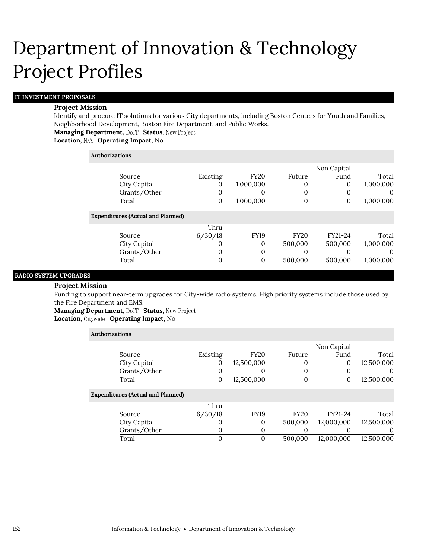## **IT INVESTMENT PROPOSALS**

#### **Project Mission**

Identify and procure IT solutions for various City departments, including Boston Centers for Youth and Families, Neighborhood Development, Boston Fire Department, and Public Works.

**Managing Department, DoIT Status, New Project** 

## **Location, Operating Impact,** No

#### **Authorizations**

Expe

|                                |          |             |             | Non Capital  |           |
|--------------------------------|----------|-------------|-------------|--------------|-----------|
| Source                         | Existing | <b>FY20</b> | Future      | Fund         | Total     |
| City Capital                   | $_{0}$   | 1,000,000   |             | 0            | 1,000,000 |
| Grants/Other                   | O        | O           |             |              | $\theta$  |
| Total                          | $\theta$ | 1,000,000   | $\Omega$    | $\mathbf{0}$ | 1,000,000 |
| enditures (Actual and Planned) |          |             |             |              |           |
|                                | Thru     |             |             |              |           |
| Source                         | 6/30/18  | <b>FY19</b> | <b>FY20</b> | FY21-24      | Total     |
| City Capital                   | O        | $\Omega$    | 500,000     | 500,000      | 1,000,000 |
| Grants/Other                   | 0        | 0           |             |              | O         |
| Total                          | 0        | $\Omega$    | 500,000     | 500,000      | 1,000,000 |
|                                |          |             |             |              |           |

#### **RADIO SYSTEM UPGRADES**

#### **Project Mission**

Funding to support near-term upgrades for City-wide radio systems. High priority systems include those used by the Fire Department and EMS.

**Managing Department, DoIT Status, New Project** 

**Location, Operating Impact,** No

| Authorizations |                                          |              |             |             |             |            |
|----------------|------------------------------------------|--------------|-------------|-------------|-------------|------------|
|                |                                          |              |             |             | Non Capital |            |
|                | Source                                   | Existing     | <b>FY20</b> | Future      | Fund        | Total      |
|                | City Capital                             | 0            | 12,500,000  | 0           | 0           | 12,500,000 |
|                | Grants/Other                             | 0            | 0           |             |             | $\theta$   |
|                | Total                                    | $\mathbf{0}$ | 12,500,000  | $\Omega$    | 0           | 12,500,000 |
|                | <b>Expenditures (Actual and Planned)</b> |              |             |             |             |            |
|                |                                          | Thru         |             |             |             |            |
|                | Source                                   | 6/30/18      | <b>FY19</b> | <b>FY20</b> | FY21-24     | Total      |
|                | City Capital                             | 0            | 0           | 500,000     | 12,000,000  | 12,500,000 |
|                | Grants/Other                             | $\mathbf{0}$ | 0           | $\theta$    |             | $\theta$   |
|                | Total                                    | 0            | 0           | 500.000     | 12.000.000  | 12,500,000 |